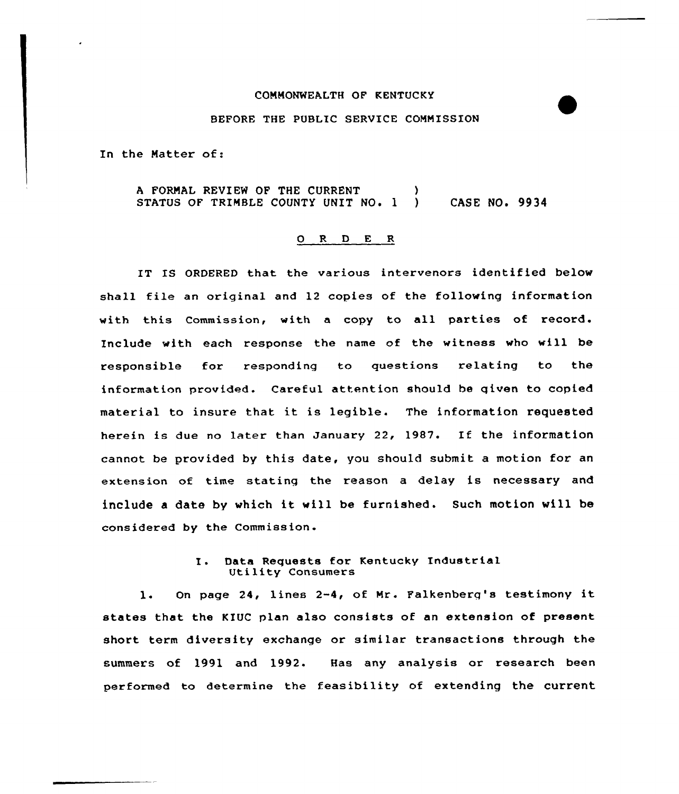## COMMONWEALTH OF KENTUCKY

### BEFORE THE PUBLIC SERVICE COMNISSION

In the Natter of:

A FORMAL REVIEW OF THE CURRENT STATUS OF TRINBLE COUNTY UNIT NO. 1 ) CASE NO. 9934

#### $O$  R  $D$  E R

IT IS ORDERED that the various intervenors identified below shall file an original and 12 copies of the following information vith this Commission, with a copy to all parties of record. Include with each response the name of the witness who will be responsible for responding to questions relating to the information provided. Careful attention should be qiven to copied material to insure that it is legible. The information requested herein is due no later than January 22, 1987. If the information cannot be provided by this date, you should submit a motion for an extension of time statinq the reason <sup>a</sup> delay is necessary and include <sup>a</sup> date by which it will be furnished. Such motion will be considered by the Commission

# I. Data Requests for Kentucky Industrial Utility Consumers

l. On page 24, lines 2-4, of Nr. Falkenberq's testimony it states that the KIUC plan also consists of an extension of present short term diversity exchange or similar transactions through the summers of 1991 and 1992. Has any analysis or research been performed to determine the feasibility of extending the current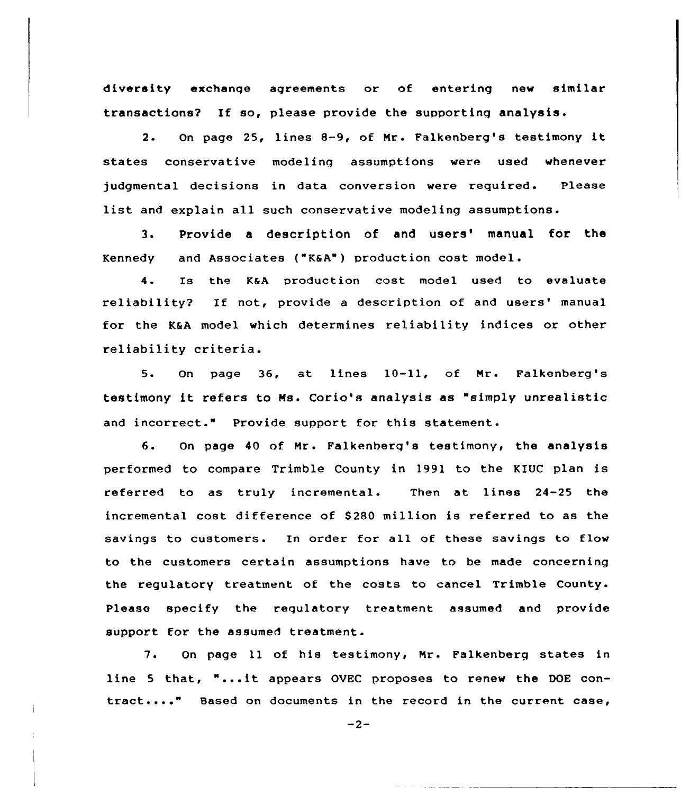diversity exchange agreements or of entering new similar transactions? If so, please provide the supporting analysis.

2. On page 25, lines 8-9, of Nr. Falkenberg's testimony it states conservative modeling assumptions were used whenever judgmental decisions in data conversion were required. Please list and explain all such conservative modeling assumptions.

3. Provide a description of and users' manual for the Kennedy and Associates ("K6A") production cost model.

4. Is the K@A production cost model used to evaluate reliability? If not, provide a description of and users' manual for the K&A model which determines reliability indices or other reliability criteria.

5. On page 36, at lines 10-11, of Mr. Falkenberg's testimony it refers to Ms. Corio's analysis as "simply unrealistic and incorrect." Provide support for this statement.

6. On page 40 of Nr. Falkenberg's testimony, the analysis performed to compare Trimble County in 1991 to the KIUC plan is referred to as truly incremental. Then at lines 24-25 the incremental cost difference of \$ 280 million is referred to as the savings to customers. In order for all of these savings to flow to the customers certain assumptions have to be made concerning the regulatory treatment of the costs to cancel Trimble County. Please specify the regulatory treatment assumed and provide support for the assumed treatment.

7. On page 11 of his testimony, Mr. Falkenberg states in line <sup>5</sup> that, "...it appears OVEC proposes to renew the DOE contract...." Based on documents in the record in the current case,

 $-2-$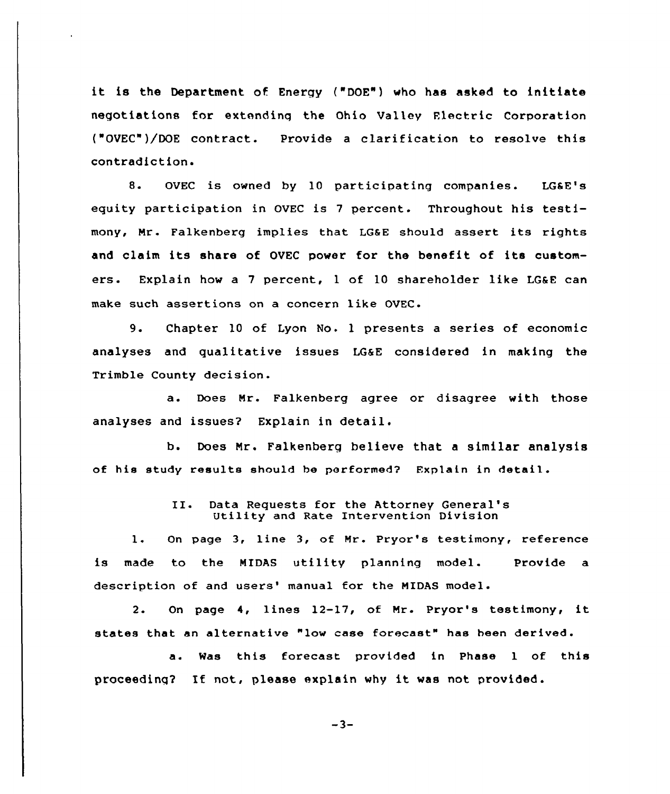it is the Department of Energy ("DOE") who has asked to initiate negotiations for extendinq the Ohio Valley Flectric Corporation ("OVEC")/DOE contract. Provide a clarification to resolve this contradiction.

8. OVEC is owned by 10 participating companies. LGSE's equity participation in OVEC is <sup>7</sup> percent. Throughout his testimony, Mr. Falkenberg implies that LG&E should assert its rights and claim its share of OVEC power for the benefit of its customers. Explain how a 7 percent, 1 of 10 shareholder like LG&E can make such assertions on a concern like OVEC.

9. Chapter <sup>10</sup> of Lyon No. <sup>1</sup> presents <sup>a</sup> series of economic analyses and qualitative issues LGaE considered in making the Trimble County decision.

a. Does Mr. Falkenberg agree or disagree with those analyses and issues? Explain in detail.

b. Does Nr. Falkenberg believe that a similar analysis of his study results should he performed? Explain in detail.

# II. Data Requests for the Attorney General' Utility and Rate Intervention Division

l. On page 3, line 3, of Mr. Pryor's testimony, reference is made to the MIDAS utility planning model. Provide a description of and users' manual for the MIDAS model.

2. On page 4, lines 12-17, of Mr. Pryor's testimony, it states that an alternative "low case forecast" has been derived.

a. Was this forecast provided in Phase <sup>1</sup> of this proceeding? If not, please explain why it was not provided.

 $-3-$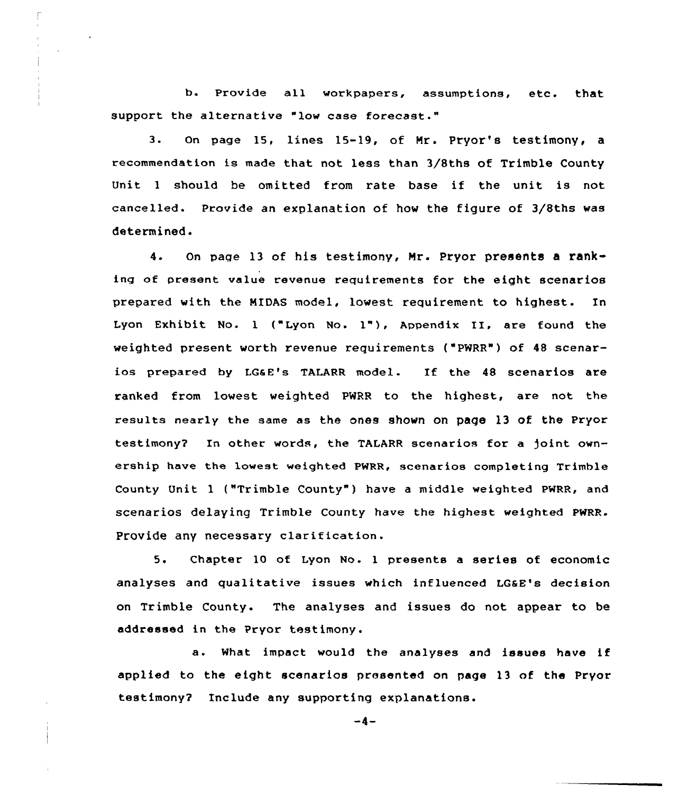b. Provide all workpapers, assumptions, etc. that support the alternative "low case forecast."

3. On page 15, lines 15-19, of Mr. Pryor's testimony, a recommendation is made that not less than 3/8ths of Trimble County Unit <sup>1</sup> should be omitted from rate base if the unit is not cancelled. Provide an explanation of how the figure of 3/Bths was determined.

4. On paqe 13 of his testimony, Hr. Pryor presents a ranking of present value revenue requirements for the eight scenarios prepared with the MIDAS model, lowest requirement to highest.. In Lyon Exhibit No. 1 ("Lyon No. 1"), Appendix II, are found the weighted present worth revenue requirements ("PWRR") of 48 scenarios prepared by LGaE's TALARR model. If the <sup>48</sup> scenarios are ranked from lowest weighted PWRR to the highest, are not the results nearly the same as the ones shown on page l3 of the Pryor testimony? In other words, the TALARR scenarios for a joint ownership have the lowest weighted PWRR, scenarios completing Trimble County Unit 1 ("Trimble County" ) have a middle weighted PWRR, and scenarios delaying Trimble County have the highest weighted pWRR. Provide any necessary clarification.

5. Chapter 10 of Lyon No. <sup>1</sup> presents a series of economic analyses and qualitative issues which influenced LGaE's decision on Trimble County. The analyses and issues do not appear to be addressed in the Pryor testimony.

a. What impact would the analyses and issues have if applied to the eight scenarios presented on page 13 of. the Pryor testimony7 Include any supporting explanations.

 $-4-$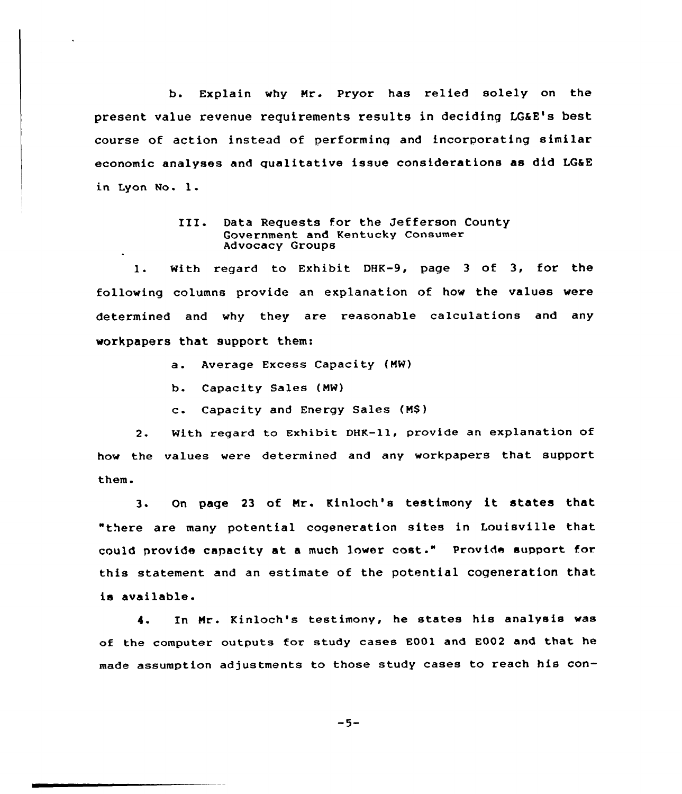b. Explain why Nr. Pryor has relied solely on the present value revenue requirements results in deciding LGEE's best course of action instead of performing and incorporating similar economic analyses and qualitative issue considerations as did LG&E in Lyon Mo. l.

### III. Data Requests for the Jefferson County Government and Kentucky Consumer Advocacy Groups

1. With regard to Exhibit DHK-9, page <sup>3</sup> of 3, for the following columns provide an explanation of how the values were determined and why they are reasonable calculations and any workpapers that support them:

- a. Average Excess Capacity (NW)
- b. Capacity Sales (NW)
- c. Capacity and Energy Sales (NS)

2. With regard to Exhibit DHK-11, provide an explanation of how the values were determined and any workpapers that support them.

3. On page <sup>23</sup> of Nr. Kinloch's testimony it states that "there are many potential cogeneration sites in Louisville that could provide capacity at <sup>a</sup> much lower cost." Provide support for this statement and an estimate of the potential cogeneration that is available.

4. In Nr. Kinloch's testimony, he states his analysis was of the computer outputs for study cases E001 and E002 and that he made assumption adjustments to those study cases to reach his con-

$$
-5-
$$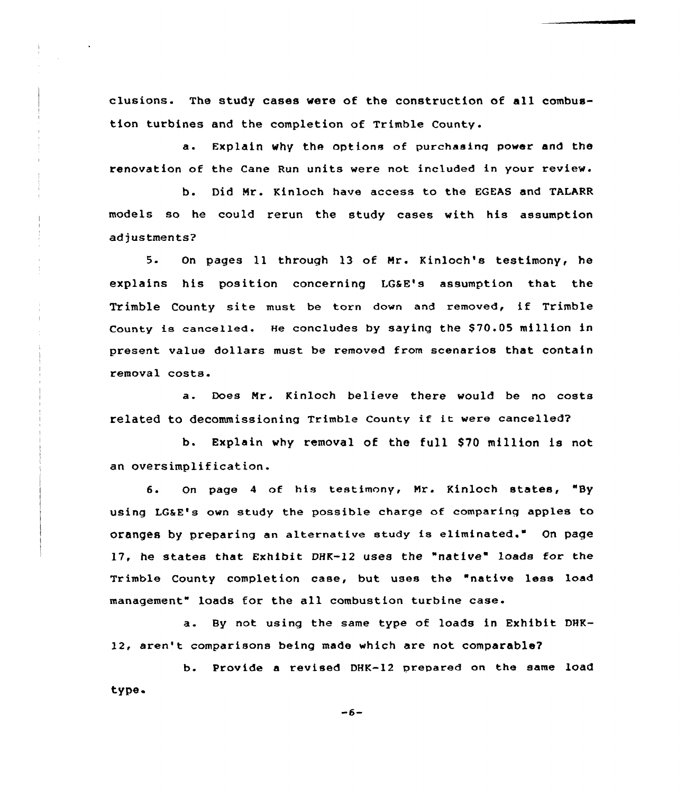clusions. The study cases were of the construction of all combustion turbines and the completion of Trimble County.

a. Explain why the options of purchasinq power and the renovation of the Cane Run units were not included in your review.

b. Did Mr. Kinloch have access to the EGEAS and TALARR models so he could rerun the study cases with his assumption adjustments?

5. On pages ll through 13 of Mr. Kinloch's testimony, he explains his position concerning LGSE's assumption that the Trimble County site must be torn down and removed, if Trimble County is cancelled. He concludes by saying the \$70.05 million in present value dollars must be removed from scenarios that contain removal costs.

a. Does Mr. Kinloch believe there would be no costs related to decommissioning Trimble County if it were cancelled?

b. Explain why removal of the full 870 million is not an oversimplification.

6. On page <sup>4</sup> of his testimony, Nr. Kinloch states, "By using LGSE's own study the possible charge of comparing apples to oranges by preparing an alternative study is eliminated." On page 17, he states that Exhibit DHK-12 uses the "native" loads for the Trimble County completion case, but uses the "native less load management" loads for the all combustion turbine case.

a. By not using the same type of loads in Exhibit DHK-12, aren't comparisons being made which are not comparable?

b. Provide a revised DHK-12 prepared on the same load type

 $-6-$